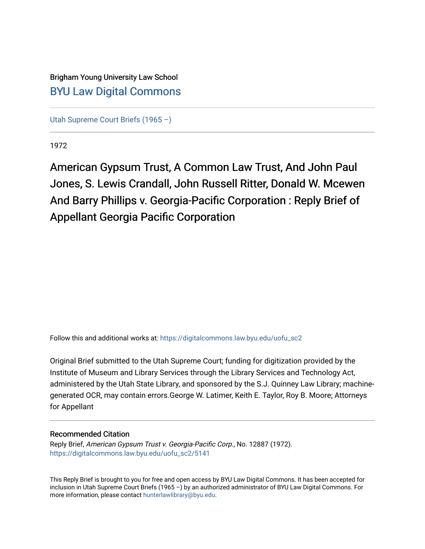Brigham Young University Law School [BYU Law Digital Commons](https://digitalcommons.law.byu.edu/) 

[Utah Supreme Court Briefs \(1965 –\)](https://digitalcommons.law.byu.edu/uofu_sc2)

1972

American Gypsum Trust, A Common Law Trust, And John Paul Jones, S. Lewis Crandall, John Russell Ritter, Donald W. Mcewen And Barry Phillips v. Georgia-Pacific Corporation : Reply Brief of Appellant Georgia Pacific Corporation

Follow this and additional works at: [https://digitalcommons.law.byu.edu/uofu\\_sc2](https://digitalcommons.law.byu.edu/uofu_sc2?utm_source=digitalcommons.law.byu.edu%2Fuofu_sc2%2F5141&utm_medium=PDF&utm_campaign=PDFCoverPages)

Original Brief submitted to the Utah Supreme Court; funding for digitization provided by the Institute of Museum and Library Services through the Library Services and Technology Act, administered by the Utah State Library, and sponsored by the S.J. Quinney Law Library; machinegenerated OCR, may contain errors.George W. Latimer, Keith E. Taylor, Roy B. Moore; Attorneys for Appellant

## Recommended Citation

Reply Brief, American Gypsum Trust v. Georgia-Pacific Corp., No. 12887 (1972). [https://digitalcommons.law.byu.edu/uofu\\_sc2/5141](https://digitalcommons.law.byu.edu/uofu_sc2/5141?utm_source=digitalcommons.law.byu.edu%2Fuofu_sc2%2F5141&utm_medium=PDF&utm_campaign=PDFCoverPages) 

This Reply Brief is brought to you for free and open access by BYU Law Digital Commons. It has been accepted for inclusion in Utah Supreme Court Briefs (1965 –) by an authorized administrator of BYU Law Digital Commons. For more information, please contact [hunterlawlibrary@byu.edu](mailto:hunterlawlibrary@byu.edu).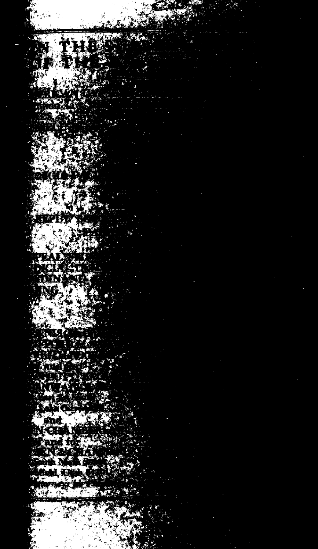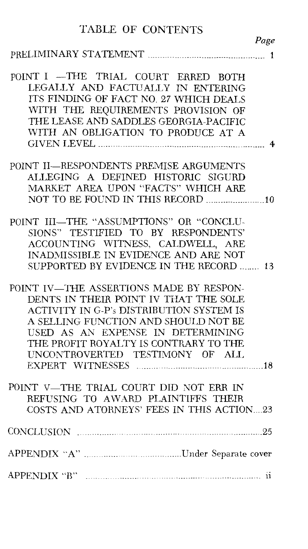# TABLE OF CONTENTS

| POINT I -- THE TRIAL COURT ERRED BOTH<br>LEGALLY AND FACTUALLY IN ENTERING<br>ITS FINDING OF FACT NO. 27 WHICH DEALS<br>WITH THE REQUIREMENTS PROVISION OF<br>THE LEASE AND SADDLES GEORGIA-PACIFIC<br>WITH AN OBLIGATION TO PRODUCE AT A                                             |  |
|---------------------------------------------------------------------------------------------------------------------------------------------------------------------------------------------------------------------------------------------------------------------------------------|--|
| POINT II-RESPONDENTS PREMISE ARGUMENTS<br>ALLEGING A DEFINED HISTORIC SIGURD<br>MARKET AREA UPON "FACTS" WHICH ARE                                                                                                                                                                    |  |
| POINT III-THE "ASSUMPTIONS" OR "CONCLU-<br>SIONS" TESTIFIED TO BY RESPONDENTS'<br>ACCOUNTING WITNESS, CALDWELL, ARE<br>INADMISSIBLE IN EVIDENCE AND ARE NOT<br>SUPPORTED BY EVIDENCE IN THE RECORD  13                                                                                |  |
| POINT IV-THE ASSERTIONS MADE BY RESPON-<br>DENTS IN THEIR POINT IV THAT THE SOLE<br>ACTIVITY IN G-P's DISTRIBUTION SYSTEM IS<br>A SELLING FUNCTION AND SHOULD NOT BE<br>USED AS AN EXPENSE IN DETERMINING<br>THE PROFIT ROYALTY IS CONTRARY TO THE<br>UNCONTROVERTED TESTIMONY OF ALL |  |
| POINT V-THE TRIAL COURT DID NOT ERR IN<br>REFUSING TO AWARD PLAINTIFFS THEIR<br>COSTS AND ATORNEYS' FEES IN THIS ACTION23                                                                                                                                                             |  |
| CONCLUSION 25                                                                                                                                                                                                                                                                         |  |
|                                                                                                                                                                                                                                                                                       |  |
| APPENDIX "B"                                                                                                                                                                                                                                                                          |  |

*Page*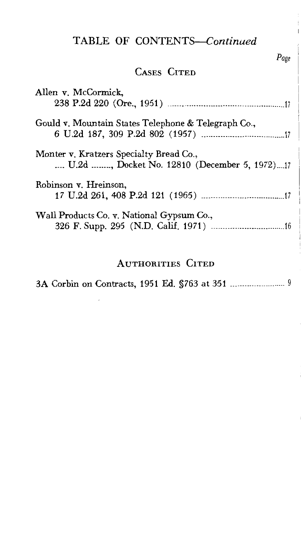# TABLE OF *CONTENTS-Continued*

# CASES CITED

| Allen v. McCormick,                                                                     |
|-----------------------------------------------------------------------------------------|
| Gould v. Mountain States Telephone & Telegraph Co.,                                     |
| Monter v. Kratzers Specialty Bread Co.,<br>U.2d , Docket No. 12810 (December 5, 1972)17 |
| Robinson v. Hreinson,                                                                   |
| Wall Products Co. v. National Gypsum Co.,                                               |
|                                                                                         |

## AUTHORITIES CITED

|--|--|--|--|--|--|--|--|--|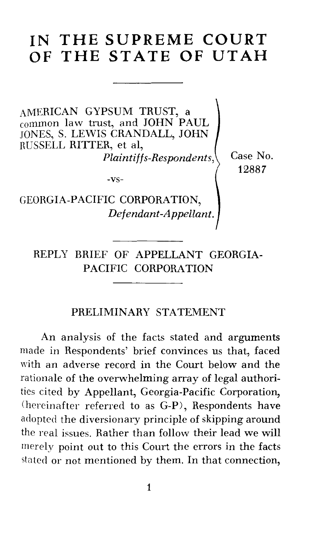# **IN THE SUPREME COURT OF THE STATE OF UTAH**

AMERICAN GYPSUM TRUST, a common law trust, and JOHN PAUL JONES, S. LEWIS CRANDALL, JOHN RUSSELL RITTER, et al, *Plaintiffs-Respondents,* 

Case No. 12887

-vs-

GEORGIA-PACIFIC CORPORATION, *Defendant-Appellant.* 

REPLY BRIEF OF APPELLANT GEORGIA-PACIFIC CORPORATION

## PRELIMINARY STATEMENT

An analysis of the facts stated and arguments made in Respondents' brief convinces us that, faced with an adverse record in the Court below and the rationale of the overwhelming array of legal authorities cited by Appellant, Georgia-Pacific Corporation, (hereinafter referred to as G-P), Respondents have adopted the diversionary principle of skipping around the real issues. Rather than follow their lead we will merely point out to this Court the errors in the facts stated or not mentioned by them. In that connection,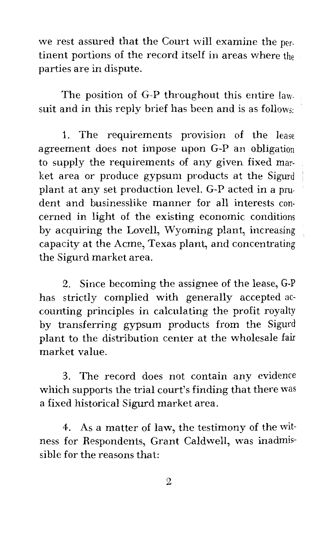we rest assured that the Court will examine the pertinent portions of the record itself in areas where the parties are in dispute.

The position of G-P throughout this entire lawsuit and in this reply brief has been and is as follows:

1. The requirements provision of the lease agreement does not impose upon G-P an obligation to supply the requirements of any given fixed market area or produce gypsum products at the Sigurd plant at any set production level. G-P acted in a prudent and businesslike manner for all interests concerned in light of the existing economic conditions by acquiring the Lovell, Wyoming plant, increasing capacity at the Acme, Texas plant, and concentrating the Sigurd market area.

2. Since becoming the assignee of the lease, G-P has strictly complied with generally accepted accounting principles in calculating the profit royalty by transferring gypsum products from the Sigurd plant to the distribution center at the wholesale fair market value.

3. The record does not contain any evidence which supports the trial court's finding that there was a fixed historical Sigurd market area.

4. As a matter of law, the testimony of the witness for Respondents, Grant Caldwell, was inadmissible for the reasons that: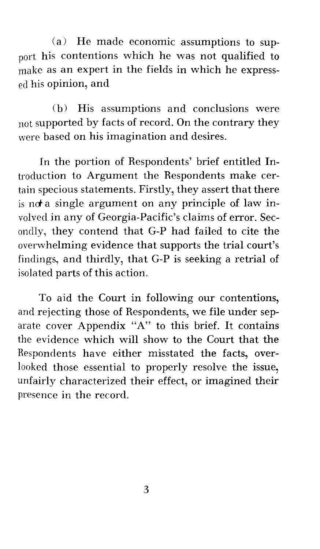(a) He made economic assumptions to support his contentions which he was not qualified to make as an expert in the fields in which he expressed his opinion, and

(b) His assumptions and conclusions were not supported by facts of record. On the contrary they were based on his imagination and desires.

In the portion of Respondents' brief entitled Introduction to Argument the Respondents make certain specious statements. Firstly, they assert that there is not a single argument on any principle of law involved in any of Georgia-Pacific's claims of error. Secondly, they contend that G-P had failed to cite the overwhelming evidence that supports the trial court's findings, and thirdly, that G-P is seeking a retrial of isolated parts of this action.

To aid the Court in following our contentions, and rejecting those of Respondents, we file under separate cover Appendix "A" to this brief. It contains the evidence which will show to the Court that the Respondents have either misstated the facts, overlooked those essential to properly resolve the issue, unfairly characterized their effect, or imagined their presence in the record.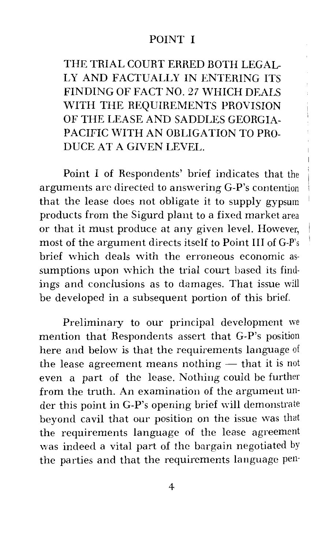#### POINT I

THE TRIAL COURT ERRED BOTH LEGAL-LY AND FACTUALLY IN ENTERING ITS FINDING OF FACT NO. 27 WHICH DEALS WITH THE REQUIREMENTS PROVISION OF THE LEASE AND SADDLES GEORGIA-PACIFIC WITH AN OBLIGATION TO PRO-DUCE AT A GIVEN LEVEL.

Point I of Respondents' brief indicates that the arguments arc directed to answering G-P's contention that the lease does not obligate it to supply gypsum products from the Sigurd plant to a fixed market area or that it must produce at any given level. However, most of the argument directs itself to Point III of G-P's brief which deals with the erroneous economic assumptions upon which the trial court based its findings and conclusions as to damages. That issue will be developed in a subsequent portion of this brief.

Preliminary to our principal development we mention that Respondents assert that G-P's position here and below is that the requirements language of the lease agreement means nothing  $-$  that it is not even a part of the lease. Nothing could be further from the truth. An examination of the argument under this point in G-P's opening brief will demonstrate beyond cavil that our position on the issue was that the requirements language of the lease agreement was indeed a vital part of the bargain negotiated by the parties and that the requirements language pen-

4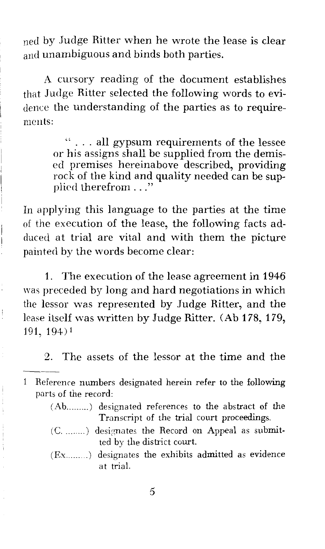ned by Judge Ritter when he wrote the lease is clear and unambiguous and binds both parties.

A cursory reading of the document establishes that Judge Ritter selected the following words to evidence the understanding of the parties as to requirements:

> " ... all gypsum requirements of the lessee or his assigns shall be supplied from the demised premises hereinabove described, providing rock of the kind and quality needed can be supplied therefrom . . ."

In applying this language to the parties at the time of the execution of the lease, the following facts adduced at trial are vital and with them the picture painted by the words become clear:

1. The execution of the lease agreement in 1946 was preceded by long and hard negotiations in which the lessor was represented by Judge Ritter, and the lease itself was written by Judge Ritter. (Ab 178, 179, 191, 194) 1

ļ

2. The assets of the lessor at the time and the

Reference numbers designated herein refer to the following  $\mathbf{1}$ parts of the record:

- (Ab.........) designated references to the abstract of the Transcript of the trial court proceedings.
- (C. ........) designates the Record on Appeal as submitted by the district court.

 $(Ex$ ..........) designates the exhibits admitted as evidence at trial.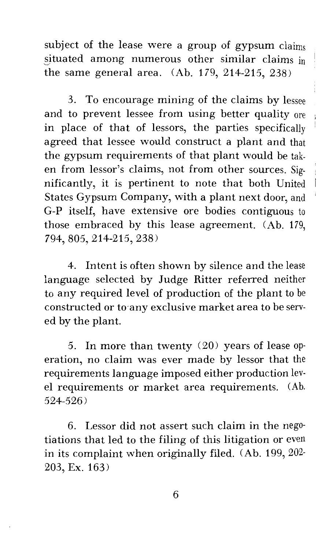subject of the lease were a group of gypsum claims situated among numerous other similar claims in the same general area. (Ab. 179, 214-215, 238)

3. To encourage mining of the claims by lessee and to prevent lessee from using better quality ore in place of that of lessors, the parties specifically agreed that lessee would construct a plant and that the gypsum requirements of that plant would be taken from lessor's claims, not from other sources. Significantly, it is pertinent to note that both United States Gypsum Company, with a plant next door, and G-P itself, have extensive ore bodies contiguous to those embraced by this lease agreement. (Ab. 179, 794, 805, 214-215, 238)

4. Intent is often shown by silence and the lease language selected by Judge Ritter referred neither to any required level of production of the plant to be constructed or to-any exclusive market area to be served by the plant.

5. In more than twenty (20) years of lease operation, no claim was ever made by lessor that the requirements language imposed either production level requirements or market area requirements. (Ab. 524-526)

6. Lessor did not assert such claim in the negotiations that led to the filing of this litigation or even in its complaint when originally filed. (Ab. 199, 202- 203, Ex. 163)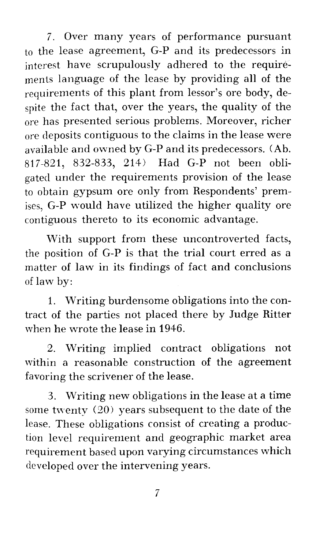7. Over many years of performance pursuant to the lease agreement, G-P and its predecessors in interest have scrupulously adhered to the requirements language of the lease by providing all of the requirements of this plant from lessor's ore body, despite the fact that, over the years, the quality of the ore has presented serious problems. Moreover, richer ore deposits contiguous to the claims in the lease were available and owned by G-P and its predecessors. (Ab. 817-821, 832-833, 214) Had G-P not been obligated under the requirements provision of the lease to obtain gypsum ore only from Respondents' premises, G-P would have utilized the higher quality ore contiguous thereto to its economic advantage.

With support from these uncontroverted facts, the position of G-P is that the trial court erred as a matter of law in its findings of fact and conclusions of law by:

1. Writing burdensome obligations into the contract of the parties not placed there by Judge Ritter when he wrote the lease in 1946.

2. Writing implied contract obligations not within a reasonable construction of the agreement favoring the scrivener of the lease.

3. Writing new obligations in the lease at a time some twenty (20) years subsequent to the date of the lease. These obligations consist of creating a production level requirement and geographic market area requirement based upon varying circumstances which developed over the intervening years.

7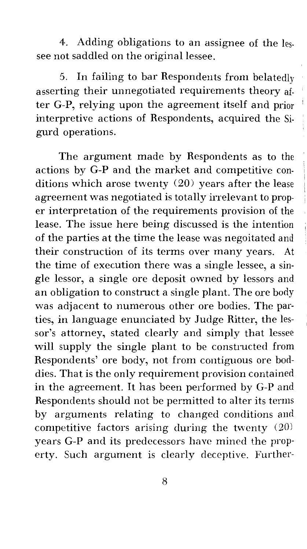4. Adding obligations to an assignee of the lessee not saddled on the original lessee.

5. In failing to bar Respondents from belatedly asserting their unnegotiated requirements theory after G-P, relying upon the agreement itself and prior interpretive actions of Respondents, acquired the Sigurd operations.

The argument made by Respondents as to the actions by G-P and the market and competitive conditions which arose twenty (20) years after the lease agreement was negotiated is totally irrelevant to proper interpretation of the requirements provision of the lease. The issue here being discussed is the intention of the parties at the time the lease was negoitated and their construction of its terms over many years. At the time of execution there was a single lessee, a single lessor, a single ore deposit owned by lessors and an obligation to construct a single plant. The ore body was adjacent to numerous other ore bodies. The parties, in language enunciated by Judge Ritter, the lessor's attorney, stated clearly and simply that lessee will supply the single plant to be constructed from Respondents' ore body, not from contiguous ore boddies. That is the only requirement provision contained in the agreement. It has been performed by G-P and Respondents should not be permitted to alter its terms by arguments relating to changed conditions and competitive factors arising during the twenty (20) years G-P and its predecessors have mined the property. Such argument is clearly deceptive. Further-

8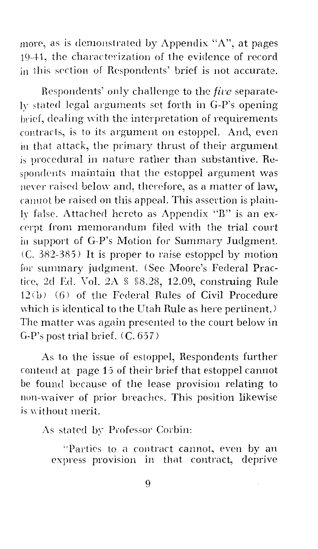more, as is demonstrated by Appendix "A", at pages 19-41, the characterization of the evidence of record in this section of Respondents' brief is not accurate.

Respondents' only chnllengc to the *fil'e* separately stated legal arguments set forth in G-P's opening brief, dealing with the interpretation of requirements contracts, is to its argument on estoppel. And, even in that attack, the primary thrust of their argument is procedural in nature rather than substantive. Respondents maintain that the estoppel argument was neyer raised below and, therefore, as a matter of law, cannot be raised on this appeal. This assertion is plainly false. Attached hereto as Appendix "B" is an excerpt from memorandum filed with the trial court in support of G-P's Motion for Summary Judgment. (C. 382-385) It is proper to raise estoppcl by motion for summary judgment. (Sec Moore's Federal Practice, 2d Ed. Vol. 2A § §8.28, 12.09, construing Rule 12(b) (6) of the Federal Rules of Civil Procedure which is identical to the Utah Rule as here pertinent.) The matter was again presented to the court below in G-P's post trial brief.  $(C. 657)$ 

As to the issue of estoppel, Respondents further contend at page 15 of their brief that estoppel cannot be found because of the lease provision relating to non-waiver of prior breaches. This position likewise is without merit.

As stated by Professor Corbin:

'·Parties to a contract cannot, even by an express provision in that contract, deprive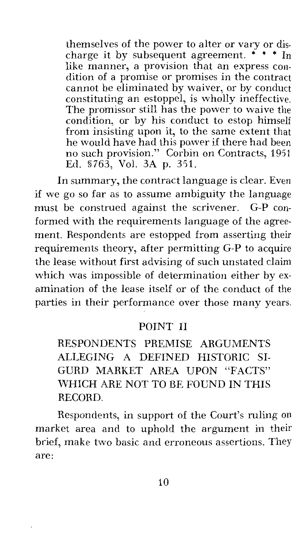themselves of the power to alter or vary or discharge it by subsequent agreement.  $\check{r}$  \* \* In like manner, a provision that an express condition of a promise or promises in the contract cannot be eliminated by waiver, or by conduct constituting an estoppel, is wholly ineffective. The promissor still has the power to waive the condition, or by his conduct to estop himself from insisting upon it, to the same extent that he would have had this power if there had been no such provision." Corbin on Contracts, 1951 Ed. §763, Vol. 3A p. 351.

In summary, the contract language is clear. Even if we go so far as to assume ambiguity the language must be construed against the scrivener. G-P conformed with the requirements language of the agreement. Respondents are estopped from asserting their requirements theory, after permitting G-P to acquire the lease without first advising of such unstated claim which was impossible of determination either by examination of the lease itself or of the conduct of the parties in their performance over those many years.

### POINT II

RESPONDENTS PREMISE ARGUMENTS ALLEGING A DEFINED HISTORIC SI-GURD MARKET AREA UPON "FACTS" WHICH ARE NOT TO BE FOUND IN THIS RECORD.

Respondents, in support of the Court's ruling on market area and to uphold the argument in their brief, make two basic and erroneous assertions. They are: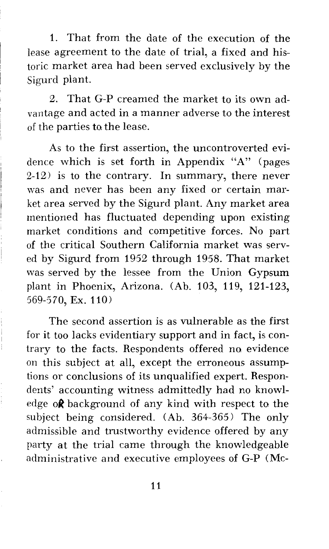1. That from the date of the execution of the lease agreement to the date of trial, a fixed and historic market area had been served exclusively by the Sigurd plant.

2. That G-P creamed the market to its own advantage and acted in a manner adverse to the interest of the parties to the lease.

As to the first assertion, the uncontroverted evidence which is set forth in Appendix "A" (pages 2-12) is to the contrary. In summary, there never was and never has been any fixed or certain market area served by the Sigurd plant. Any market area mentioned has fluctuated depending upon existing market conditions and competitive forces. No part of the critical Southern California market was served by Sigurd from 1952 through 1958. That market was served by the lessee from the Union Gypsum plant in Phoenix, Arizona. (Ab. 103, 119, 121-123, 569-570, Ex. 110)

The second assertion is as vulnerable as the first for it too lacks evidentiary support and in fact, is contrary to the facts. Respondents offered no evidence on this subject at all, except the erroneous assumptions or conclusions of its unqualified expert. Respondents' accounting witness admittedly had no knowledge of background of any kind with respect to the subject being considered. (Ab. 364-365) The only admissible and trustworthy evidence offered by any party at the trial came through the knowledgeable administrative and executive employees of G-P (Mc-

11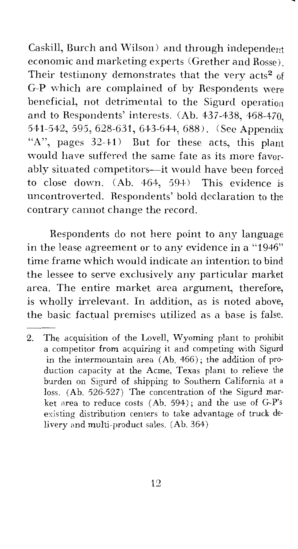Caskill, Burch and Wilson) and through independent economic and marketing experts (Grether and Rosse). Their testimony demonstrates that the very  $acts^2 of$ G-P vvhich are complained of by Respondents were beneficial, not detrimental to the Sigurd operation and to Respondents' interests. (Ab. 437-438, 468-470, 541-542, 595, 628-631, 643-644, 688). (Sec Appendix "A", pages 32-+1) But for these acts, this plant would have suffered the same fate as its more favorably situated competitors--- it would have been forced to *close* down. CAb. 464, 594) This evidence is uncontroverted. Respondents' bold declaration to the contrary cannot change the record.

Respondents do not here point to any language in the lease agreement or to any evidence in a "1946" time frame which would indicate an intention to bind the lessee to serve exclusively any particular market area. The entire market area argument, therefore, is wholly irrelevant. In addition, as is noted above, the basic factual premises utilized as a base is false.

<sup>2.</sup> The acquisition of the Lovell, Wyoming plant to prohibit a competitor from acquiring it and competing with Sigurd in the intermountain area  $(Ab. 466)$ ; the addition of production capacity at the Acme, Texas plant to relieve the burden on Sigurd of shipping to Southern California at a loss. (Ab. 526-527) The concentration of the Sigurd market area to reduce costs  $(Ab. 594)$ ; and the use of G-P's existing distribution centers to take advantage of truck delivery and multi-product sales. (Ab. 364)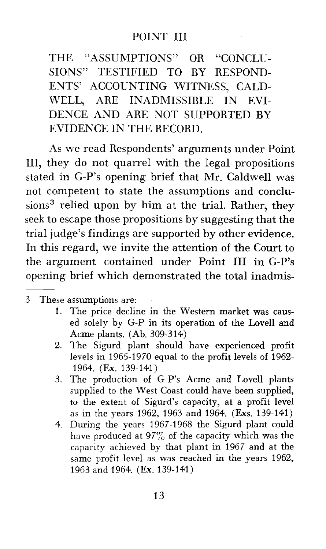### POINT III

THE "ASSUMPTIONS" OR "CONCLU-SIONS" TESTIFIED TO BY RESPOND-ENTS' ACCOUNTING WITNESS, CALD-WELL, ARE INADMISSIBLE IN EVI-DENCE AND ARE NOT SUPPORTED BY EVIDENCE IN THE RECORD.

As we read Respondents' arguments under Point III, they do not quarrel with the legal propositions stated in G-P's opening brief that Mr. Caldwell was not competent to state the assumptions and conclusions<sup>3</sup> relied upon by him at the trial. Rather, they seek to escape those propositions by suggesting that the trial judge's findings are supported by other evidence. In this regard, we invite the attention of the Court to the argument contained under Point III in G-P's opening brief which demonstrated the total inadmis-

- 3 These assumptions are:
	- 1. The price decline in the Western market was caused solely by G-P in its operation of the Lovell and Acme plants. (Ab. 309-314)
	- 2. The Sigurd plant should have experienced profit levels in 1965-1970 equal to the profit levels of 1962- 1964. (Ex. 139-141)
	- 3. The production of G-P's Acme and Lovell plants supplied to the West Coast could have been supplied, to the extent of Sigurd's capacity, at a profit level as in the years 1962, 1963 and 1964. (Exs. 139-141)
	- 4. During the years 1967-1968 the Sigurd plant could have produced at  $97\%$  of the capacity which was the capacity achieved by that plant in 1967 and at the same profit level as was reached in the years 1962, 1963 and 1964. (Ex. 139-141)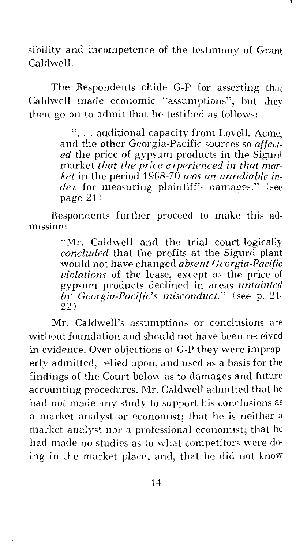sibility and incompetence of the testimony of Grant Caldwell.

The Respondents chide G-P for asserting that Caldvvell made economic "assumptions", but they then go on to admit that he testified as follows:

> "... additional capacity from Lovell, Acme. and the other Georgia-Pacific sources so *affected* the price of gypsum products in the Sigurd market *that the price experienced in that market* in the period 1968-70 *was an unreliable in*dex for measuring plaintiff's damages." (see page 21)

Respondents further proceed to make this admission:

> "Mr. Caldwell and the trial court logically *concluded* that the profits at the Sigurd plant would not have changed *absent Georgia-Pacific violations* of the lease, except as the price of gypsum products declined in areas *untainted b\_Y Georgia-Pacific's misconduct."* (see p. 21- 22)

Mr. Caldwell's assumptions or conclusions are without foundation and should not have been received in evidence. Over objections of G-P they were improperly admitted, relied upon, and used as a basis for the findings of the Court below as to damages and future accounting procedures. Mr. Caldwell admitted that he had not made any study to support his conclusions as a market analyst or economist; that he is neither a market analyst nor a professional economist; that he had made no studies as to what competitors were doing in the market place; and, that he did not know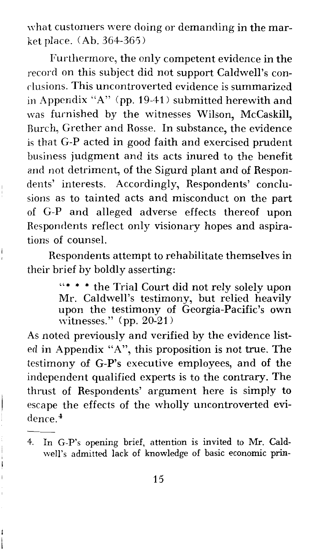what customers were doing or demanding in the market place. (Ab. 364-365)

Furthermore, the only competent evidence in the record on this subject did not support Caldwell's conclusions. This uncontroverted evidence is summarized in Appendix "A" (pp. 19-41) submitted herewith and was furnished by the witnesses Wilson, McCaskill, Burch, Grether and Rosse. In substance, the evidence is that G-P acted in good faith and exercised prudent business judgment and its acts inured to the benefit and not detriment, of the Sigurd plant and of Respondents' interests. Accordingly, Respondents' conclusions as to tainted acts and misconduct on the part of G-P and alleged adverse effects thereof upon Respondents reflect only visionary hopes and aspirations of counsel.

Respondents attempt to rehabilitate themselves in their brief by boldly asserting:

> "\* \* \* the Trial Court did not rely solely upon Mr. Caldwell's testimony, but relied heavily upon the testimony of Georgia-Pacific's own witnesses." (pp. 20-21)

As noted previously and verified by the evidence listed in Appendix "A", this proposition is not true. The testimony of G-P's executive employees, and of the independent qualified experts is to the contrary. The thrust of Respondents' argument here is simply to escape the effects of the wholly uncontroverted evidence. 4

<sup>4.</sup> In G-P's opening brief, attention is invited to Mr. Caldwell's admitted lack of knowledge of basic economic prin-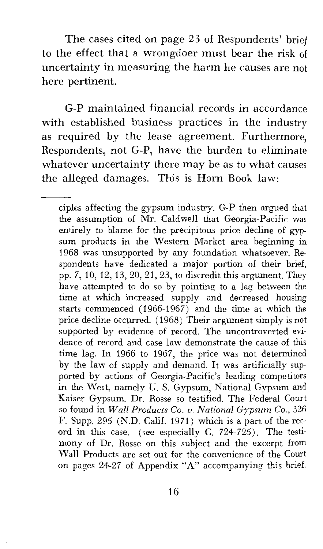The cases cited on page 23 of Respondents' brief to the effect that a wrongdoer must bear the risk of uncertainty in measuring the harm he causes are not here pertinent.

G-P maintained financial records in accordance with established business practices in the industry as required by the lease agreement. Furthermore, Respondents, not G-P, have the burden to eliminate whatever uncertainty there may be as to what causes the alleged damages. This is Horn Book law:

ciples affecting the gypsum industry. G-P then argued that the assumption of Mr. Caldwell that Georgia-Pacific was entirely to blame for the precipitous price decline of  $\sigma$ vnsum products in the Western Market area beginning in 1968 was unsupported by any foundation whatsoever. Respondents have dedicated a major portion of their brief, pp. 7, 10, 12, 13, 20, 21, 23, to discredit this argument. They have attempted to do so by pointing to a lag between the time at which increased supply and decreased housing starts commenced (1966-1967) and the time at which the price decline occurred. (1968) Their argument simply is not supported by evidence of record. The uncontroverted evidence of record and case law demonstrate the cause of this time lag. In 1966 to 1967, the price was not determined by the law of supply and demand. It was artificially supported by actions of Georgia-Pacific's leading competitors in the West, namely U. S. Gypsum, National Gypsum and Kaiser Gypsum. Dr. Rosse so testified. The Federal Court so found in *Wall Products Co. v. National Gypsum Co.,* 326 F. Supp. 295 (N.D. Calif. 1971) which is a part of the record in this case. (see especially  $C. 724-725$ ). The testimony of Dr. Rosse on this subject and the excerpt from Wall Products are set out for the convenience of the Court on pages 24-27 of Appendix "A" accompanying this brief.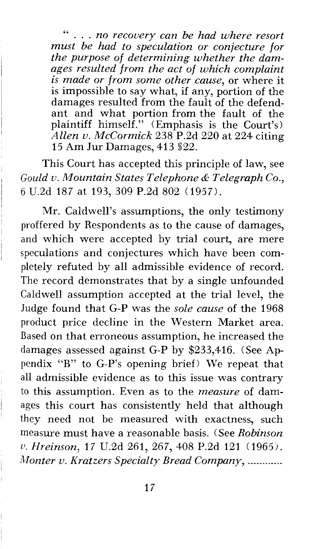" ... *no recovery can be had where resort must be had to speculation or conjecture for the purpose of determining whether the damages resulted from the act of which complaint is made or from some other cause,* or where it is impossible to say what, if any, portion of the damages resulted from the fault of the defendant and what portion from the fault of the plaintiff himself." (Emphasis is the Court's) *Allen v. McCormick* 238 P.2d 220 at 224 citing 15 Am Jur Damages, 413 §22.

This Court has accepted this principle of law, see *Gould v. Mountain States Telephone & Telegraph* Co., *6* U.2d 187 at 193, 309 P.2d 802 (1957).

Mr. Caldwell's assumptions, the only testimony proffered by Respondents as to the cause of damages, and which were accepted by trial court, are mere speculations and conjectures which have been completely refuted by all admissible evidence of record. The record demonstrates that by a single unfounded Caldwell assumption accepted at the trial level, the Judge found that G-P was the *sole cause* of the 1968 product price decline in the Western Market area. Based on that erroneous assumption, he increased the damages assessed against G-P by  $$233,416$ . (See Appendix "B" to G-P's opening brief) We repeat that all admissible evidence as to this issue was contrary to this assumption. Even as to the *measure* of damages this court has consistently held that although they need not be measured with exactness, such measure must have a reasonable basis. (See *Robinson v. Hreinson, 17 U.2d 261, 267, 408 P.2d 121 (1965). Monter v. Kratzers Specialty Bread Company, ........... .*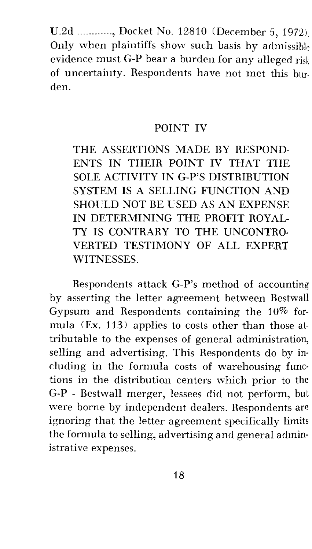U.2d ..........., Docket No. 12810 (December 5, 1972). Only when plaintiffs show such basis by admissible evidence must G-P bear a burden for any alleged risk of uncertainty. Respondents have not met this burden.

### POINT IV

THE ASSERTIONS MADE BY RESPOND-ENTS IN THEIR POINT IV THAT THE SOLE ACTIVITY IN G-P'S DISTRIBUTION SYSTEM IS A SELLING FUNCTION AND SHOULD NOT BE USED AS AN EXPENSE IN DETERMINING THE PROFIT ROYAL-TY IS CONTRARY TO THE UNCONTRO· VERTED TESTIMONY OF ALL EXPERT WITNESSES.

Respondents attack G-P's method of accounting by asserting the letter agreement between Bestwall Gypsum and Respondents containing the 10% formula (Ex. 113) applies to costs other than those attributable to the expenses of general administration, selling and advertising. This Respondents do by including in the formula costs of warehousing functions in the distribution centers which prior to the G-P - Bestwall merger, lessees did not perform, but were borne by independent dealers. Respondents are ignoring that the letter agreement specifically limits the formula to selling, advertising and general administrative expenses.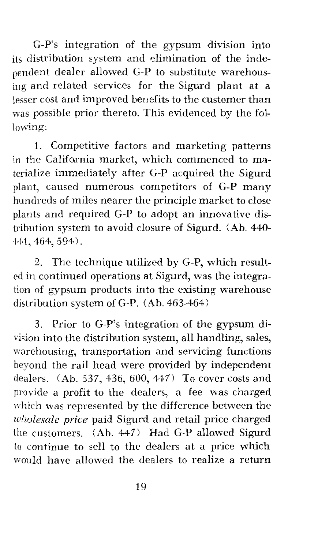G-P's integration of the gypsum division into its distribution system and elimination of the independent dealer allowed G-P to substitute warehousing and related services for the Sigurd plant at a lesser cost and improved benefits to the customer than was possible prior thereto. This evidenced by the following:

1. Competitive factors and marketing patterns in the California market, which commenced to materialize immediately after G-P acquired the Sigurd plant, caused numerous competitors of G-P many hundreds of miles nearer the principle market to close plants and required G-P to adopt an innovative distribution system to avoid closure of Sigurd. (Ab. 440- 441, 464, 594).

2. The technique utilized by G-P, which resulted in continued operations at Sigurd, was the integration of gypsum products into the existing warehouse distribution system of G-P. (Ab. 463-464)

3. Prior to G-P's integration of the gypsum division into the distribution system, all handling, sales, warehousing, transportation and servicing functions beyond the rail head were provided by independent dealers. (Ab. 537, 436, 600, 447) To cover costs and provide a profit to the dealers, a fee was charged which was represented by the difference between the *wholesale price* paid Sigurd and retail price charged the customers. (Ab. 447) Had G-P allowed Sigurd to continue to sell to the dealers at a price which would have allowed the dealers to realize a return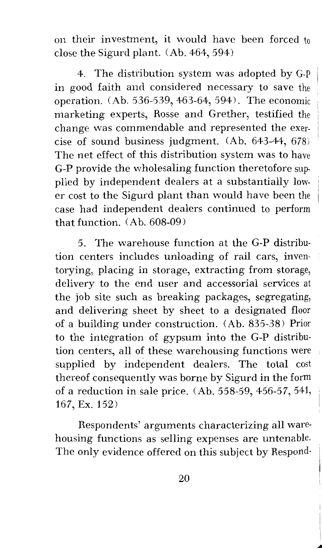on their investment, it would have been forced to close the Sigurd plant. CAb. 464, 594)

4. The distribution system was adopted by G-P m good faith and considered necessary to save the operation. (Ab. 536-539, 463-64, 594). The economic marketing experts, Rosse and Grether, testified the change was commendable and represented the exercise of sound business judgment. (Ab. 643-44, 678) The net effect of this distribution system was to have G-P provide the wholesaling function theretofore supplied by independent dealers at a substantially lower cost to the Sigurd plant than would have been the case had independent dealers continued to perform that function. CAb. 608-09)

5. The warehouse function at the G-P distribution centers includes unloading of rail cars, inventorying, placing in storage, extracting from storage, delivery to the end user and accessorial services at the job site such as breaking packages, segregating, and delivering sheet by sheet to a designated floor of a building under construction. CAb. 835-38) Prior to the integration of gypsum into the G-P distribution centers, all of these warehousing functions were supplied by independent dealers. The total cost thereof consequently was borne by Sigurd in the form of a reduction in sale price. CAb. 558-59, 456-57, 541, 167, Ex. 152)

Respondents' arguments characterizing all warehousing functions as selling expenses are untenable. The only evidence offered on this subject by Respond-

.....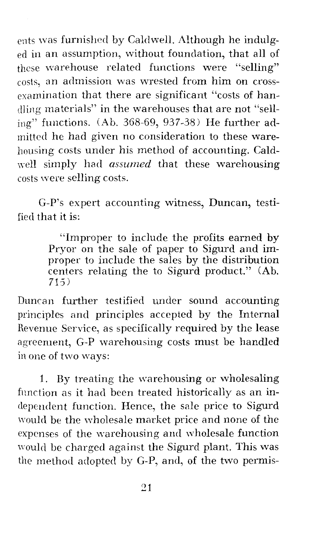ents was furnished by Caldwell. Although he indulged in an assumption, without foundation, that all of these warehouse related functions were "selling" costs, an admission was wrested from him on crossexamination that there are significant "costs of handling materials" in the warehouses that are not "selling" functions. (Ab. 368-69, 937-38) He further admitted he had given no consideration to these warehousing costs under his method of accounting. Caldwell simply had *assumed* that these warehousing costs were selling costs.

G-P's expert accounting witness, Duncan, testified that it is:

> "Improper to include the profits earned by Pryor on the sale of paper to Sigurd and improper to include the sales by the distribution centers relating the to Sigurd product." (Ab. 715)

Duncan further testified under sound accounting principles and principles accepted by the Internal Revenue Service, as specifically required by the lease agreement, G-P warehousing costs must be handled in one of two ways:

1. By treating the warehousing or wholesaling function as it had been treated historically as an independent function. Hence, the sale price to Sigurd would be the wholesale market price and none of the expenses of the warehousing and wholesale function would be charged against the Sigurd plant. This was the method adopted by G-P, and, of the two permis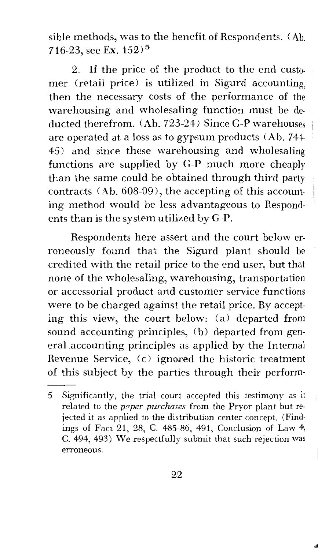sible methods, was to the benefit of Respondents. (Ab. 716-23, see Ex. 152) 5

If the price of the product to the end customer (retail price) is utilized in Sigurd accounting, then the necessary costs of the performance of the warehousing and wholesaling function must be deducted therefrom. (Ab. 723-24) Since G-P warehouses are operated at a loss as to gypsum products CAb. 744- 45) and since these warehousing and wholesaling functions are supplied by G-P much more cheaply than the same could be obtained through third party contracts (Ab. 608-09), the accepting of this accounting method would be less advantageous to Respondents than is the system utilized by G-P.

Respondents here assert and the court below erroneously found that the Sigurd plant should be credited with the retail price to the end user, but that none of the wholesaling, warehousing, transportation or accessorial product and customer service functions were to be charged against the retail price. By accepting this view, the court below: (a) departed from sound accounting principles, (b) departed from general accounting principles as applied by the Internal Revenue Service,  $(c)$  ignored the historic treatment of this subject by the parties through their perform-

<sup>5</sup> Significantly, the trial court accepted this testimony as it related to the *prrper purchases* from the Pryor plant but rejected it as applied to the distribution center concept. (Findings of Fact 21, 28, C. 485-86, 491, Conclusion of Law 4, C. 494, 493) We respectfully submit that such rejection was erroneous.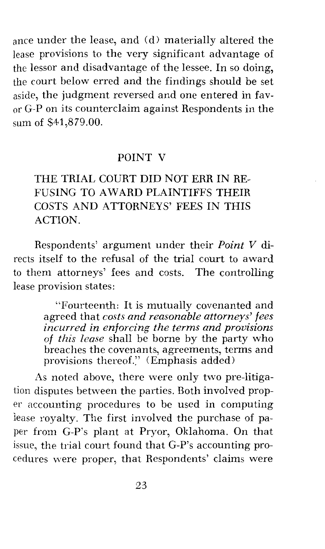ance under the lease, and  $(d)$  materially altered the lease provisions to the very significant advantage of the lessor and disadvantage of the lessee. In so doing, the court below erred and the findings should be set aside, the judgment reversed and one entered in favor G-P on its counterclaim against Respondents in the sum of \$41,879.00.

#### POINT V

## THE TRIAL COURT DID NOT ERR IN RE-FUSING TO AWARD PLAINTIFFS THEIR COSTS AND ATTORNEYS' FEES IN THIS ACTION.

Respondents' argument under their *Point V* directs itself to the refusal of the trial court to award to them attorneys' fees and costs. The controlling lease provision states:

> "Fourteenth: It is mutually covenanted and agreed that *costs and reasonable attorneys' fees incurred in enforcing the terms and provisions of this lease* shall be borne by the party who breaches the covenants, agreements, terms and provisions thereof." (Emphasis added)

As noted above, there were only two pre-litigation disputes between the parties. Both involved proper accounting procedures to be used in computing lease royalty. The first involved the purchase of paper from G-P's plant at Pryor, Oklahoma. On that issue, the trial court found that G-P's accounting procedures were proper, that Respondents' claims were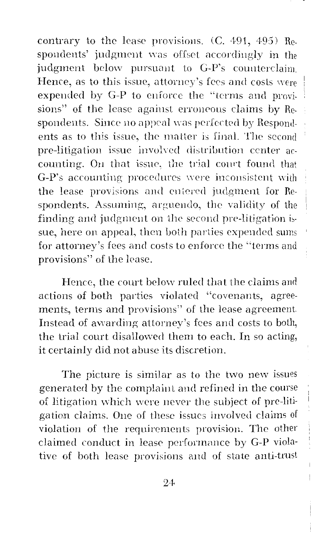contrary to the lease provisions.  $(C. 491, 495)$  Re. spondents' judgment was offset accordingly in the judgment below pursuant to G-P's counterclaim. Hence, as to this issue, attorney's fees and costs were expended by G-P to enforce the "terms and provisions" of the lease against erroneous claims by Respondents. Since no appeal was perfected by Respondents as to this issue, the matter is final. The second pre-litigation issue involved distribution center accounting. On that issue, the trial court found that G-P's accounting procedures were inconsistent with the lease provisions and entered judgment for Respondents. Assuming, arguendo, the validity of the finding and judgment on the second pre-litigation issue, here on appeal, then both parties expended sums for attorney's fees and costs to *enforce* the "terms and provisions" of the lease.

Hence, the court below ruled that the claims and actions of both parties violated "covenants, agreements, terms and provisions" of the lease agreement. Instead of awarding attorney's fees and costs to both, the trial court disallowed them to each. In so acting, it certainly did not abuse its discretion.

The picture is similar as to the two new issues generated by the complaint and refined in the course of litigation which were never the subject of pre-litigation claims. One of these issues involved claims of violation of the requirements provision. *The* other claimed conduct in lease performance by G-P violative of both lease provisions and of state anti-trust

24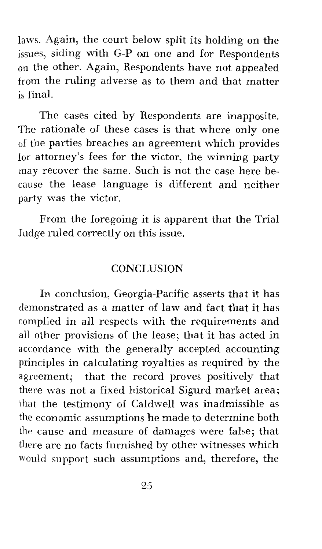laws. Again, the court below split its holding on the issues, siding with G-P on one and for Respondents on the other. Again, Respondents have not appealed from the ruling adverse as to them and that matter is final.

The cases cited by Respondents are inapposite. The rationale of these cases is that where only one of the parties breaches an agreement which provides for attorney's fees for the victor, the winning party may recover the same. Such is not the case here because the lease language is different and neither party was the victor.

From the foregoing it is apparent that the Trial Judge ruled correctly on this issue.

## **CONCLUSION**

In conclusion, Georgia-Pacific asserts that it has demonstrated as a matter of law and fact that it has complied in all respects with the requirements and all other provisions of the lease; that it has acted in accordance with the generally accepted accounting principles in calculating royalties as required by the agreement; that the record proves positively that there was not a fixed historical Sigurd market area; that the testimony of Caldwell was inadmissible as the economic assumptions he made to determine both the cause and measure of damages were false; that there are no facts furnished by other witnesses which would support such assumptions and, therefore, the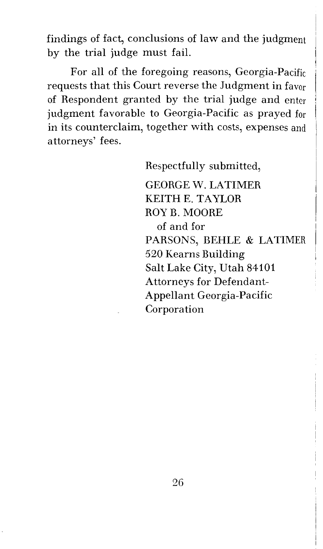findings of fact, conclusions of law and the judgment by the trial judge must fail.

For all of the foregoing reasons, Georgia-Pacific requests that this Court reverse the Judgment in favor of Respondent granted by the trial judge and enter judgment favorable to Georgia-Pacific as prayed for in its counterclaim, together with costs, expenses and attorneys' fees.

> Respectfully submitted, GEORGE W. LATIMER KEITH E. TAYLOR ROY B. MOORE of and for PARSONS, BEHLE & LATIMER 520 Kearns Building Salt Lake City, Utah 84101 Attorneys for Defendant-Appellant Georgia-Pacific Corporation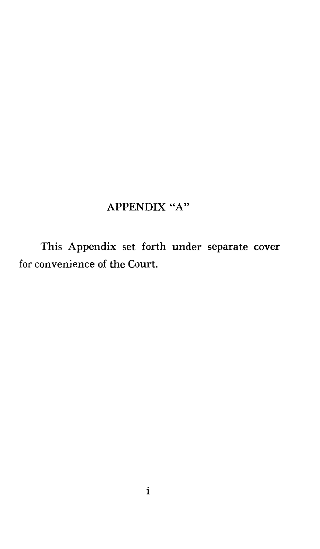# APPENDIX "A"

This Appendix set forth under separate cover for convenience of the Court.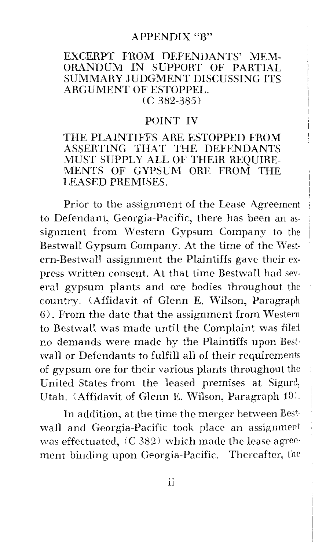#### APPENDIX "B"

#### EXCERPT FROM DEFENDANTS' MEM-ORANDUM IN SUPPORT OF PARTIAL SUMMARY JUDGMENT DISCUSSING ITS ARGUMENT OF ESTOPPEL. (C 382-385)

#### POINT IV

THE PLAINTIFFS ARE ESTOPPED FROM ASSERTING THAT THE DEFENDANTS MUST SUPPLY ALL OF THEIR REQUIRE-MENTS OF GYPSUM ORE FROM THE LEASED PREMISES.

Prior to the assignment of the Lease Agreement to Defendant, Georgia-Pacific, there has been an assignment from Western Gypsum Company to the Bestwall Gypsum Company. At the time of the Western-Bestwall assignment the Plaintiffs gave their express written consent. At that time Bestwall had several gypsum plants and ore bodies throughout the country. (Affidavit of Glenn E. Wilson, Paragraph 6). From the date that the assignment from Western to Bestwall was made until the Complaint was filed no demands were made by the Plaintiffs upon Bestwall or Defendants to fulfill all of their requirements of gypsum ore for their various plants throughout the United States from the leased premises at Sigurd, Utah. (Affidavit of Glenn E. Wilson, Paragraph 10).

In addition, at the time the merger between Bestwall and Georgia-Pacific took place an assignment was effectuated, (C 382) which made the lease agreement binding upon Georgia-Pacific. Thereafter, the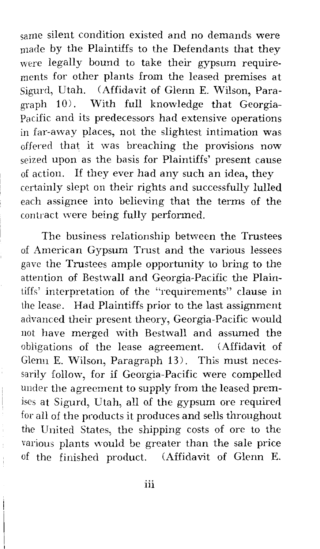same silent condition existed and no demands were made by the Plaintiffs to the Defendants that they were legally bound to take their gypsum requirements for other plants from the leased premises at Sigurd, Utah. (Affidavit of Glenn E. Wilson, Paragraph 10). With full knowledge that Georgia-Pacific and its predecessors had extensive operations in far-away places, not the slightest intimation was offered that it was breaching the provisions now seized upon as the basis for Plaintiffs' present cause of action. If they ever had any such an idea, they certainly slept on their rights and successfully lulled each assignee into believing that the terms of the contract were being fully performed.

The business relationship between the Trustees of American Gypsum Trust and the various lessees gave the Trustees ample opportunity to bring to the attention of Bestwall and Georgia-Pacific the Plaintiffs' interpretation of the "requirements" clause in the lease. Had Plaintiffs prior to the last assignment advanced their present theory, Georgia-Pacific would not have merged with Bestwall and assumed the obligations of the lease agreement. (Affidavit of Glenn E. Wilson, Paragraph 13). This must necessarily follow, for if Georgia-Pacific were compelled under the agreement to supply from the leased premises at Sigurd, Utah, all of the gypsum ore required for all of the products it produces and sells throughout the United States, the shipping costs of ore to the various plants would be greater than the sale price of the finished product. (Affidavit of Glenn E.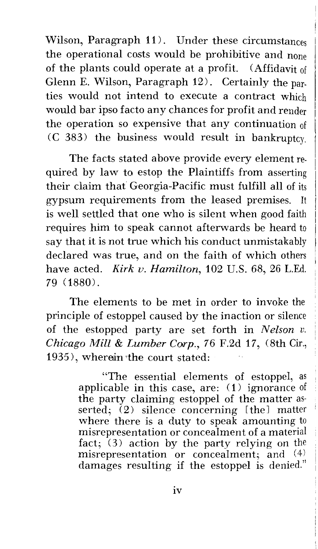Wilson, Paragraph 11). Under these circumstances the operational costs would be prohibitive and none of the plants could operate at a profit. (Affidavit of Glenn E. Wilson, Paragraph 12). Certainly the parties would not intend to execute a contract which would bar ipso facto any chances for profit and render the operation so expensive that any continuation of CC 383) the business would result in bankruptcy.

The facts stated above provide every element required by law to estop the Plaintiffs from asserting their claim that Georgia-Pacific must fulfill all of its gypsum requirements from the leased premises. It is well settled that one who is silent when good faith requires him to speak cannot afterwards be heard to say that it is not true which his conduct unmistakably declared was true, and on the faith of which others have acted. *Kirk v. Hamilton,* 102 U.S. 68, 26 L.Ed. 1 79 (1880).

The elements to be met in order to invoke the principle of estoppel caused by the inaction or silence of the estopped party are set forth in *Nelson v*. *Chicago Mill* & *Lumber Corp.,* 76 F.2d 17, (8th Cir., 1935), wherein 'the court stated:

> "The essential elements of estoppel, as applicable in this case, are:  $(1)$  ignorance of the party claiming estoppel of the matter asserted; (2) silence concerning [the] matter where there is a duty to speak amounting to misrepresentation or concealment of a material fact; (3) action by the party relying on the misrepresentation or concealment; and (4) damages resulting if the estoppel is denied."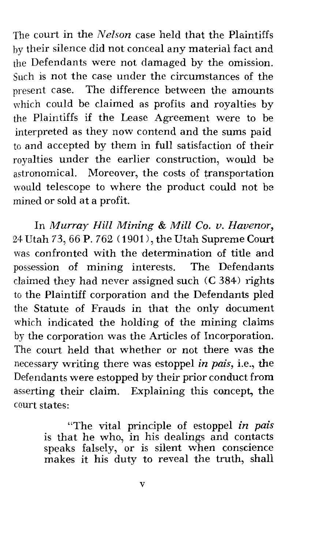The court in the *Nelson* case held that the Plaintiffs by their silence did not conceal any material fact and the Defendants were not damaged by the omission. Such is not the case under the circumstances of the present case. The difference between the amounts which could be claimed as profits and royalties by the Plaintiffs if the Lease Agreement were to be interpreted as they now contend and the sums paid to and accepted by them in full satisfaction of their royalties under the earlier construction, would be astronomical. Moreover, the costs of transportation would telescope to where the product could not be mined or sold at a profit.

In *Murray Hill Mining* & *Mill Co. v. Havenor,*  24 Utah 73, 66 P. 762 ( 1901), the Utah Supreme Court was confronted with the determination of title and possession of mining interests. The Defendants claimed they had never assigned such (C 384) rights to the Plaintiff corporation and the Defendants pled the Statute of Frauds in that the only document which indicated the holding of the mining claims by the corporation was the Articles of Incorporation. The court held that whether or not there was the necessary writing there was estoppel *in pais,* i.e., the Defendants were estopped by their prior conduct from asserting their claim. Explaining this concept, the court states:

> "The vital principle of estoppel *in pais*  is that he who, in his dealings and contacts speaks falsely, or is silent when conscience makes it his duty to reveal the truth, shall